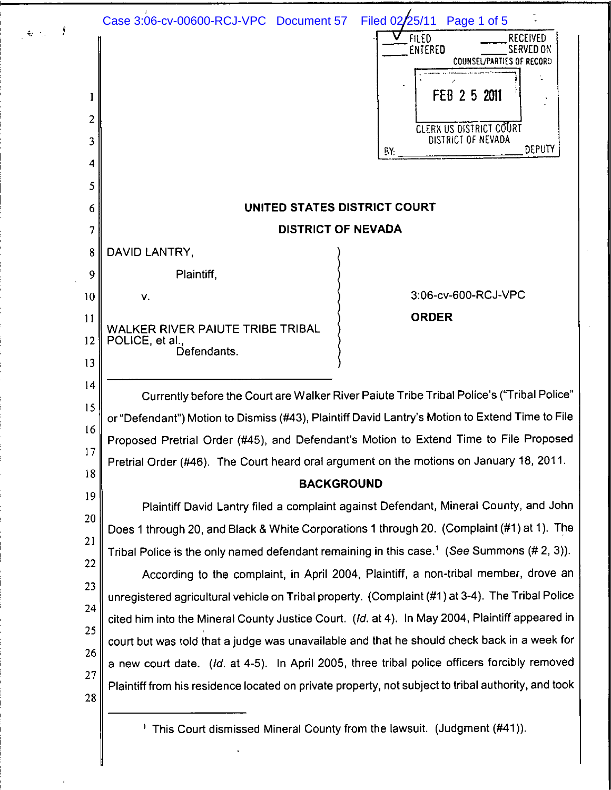|          | Filed 02/25/11<br>Case 3:06-cv-00600-RCJ-VPC Document 57<br>Page 1 of 5<br><b>FILED</b><br>RECEIVED<br>ENTERED<br>SERVED ON |
|----------|-----------------------------------------------------------------------------------------------------------------------------|
|          | COUNSEL/PARTIES OF RECORD                                                                                                   |
|          | FEB 2 5 2011                                                                                                                |
| 2        | CLERX US DISTRICT COURT                                                                                                     |
| 3        | DISTRICT OF NEVADA<br>DEPUTY<br>BY.                                                                                         |
| 4        |                                                                                                                             |
| 5        |                                                                                                                             |
| 6        | UNITED STATES DISTRICT COURT                                                                                                |
| 7        | <b>DISTRICT OF NEVADA</b>                                                                                                   |
| 8        | DAVID LANTRY,                                                                                                               |
| 9        | Plaintiff,                                                                                                                  |
| 10       | 3:06-cv-600-RCJ-VPC<br>٧.                                                                                                   |
| 11       | <b>ORDER</b><br>WALKER RIVER PAIUTE TRIBE TRIBAL                                                                            |
| 12       | POLICE, et al.,<br>Defendants.                                                                                              |
| 13       |                                                                                                                             |
| 14       | Currently before the Court are Walker River Paiute Tribe Tribal Police's ("Tribal Police"                                   |
| 15       | or "Defendant") Motion to Dismiss (#43), Plaintiff David Lantry's Motion to Extend Time to File                             |
| 16<br>17 | Proposed Pretrial Order (#45), and Defendant's Motion to Extend Time to File Proposed                                       |
| 18       | Pretrial Order (#46). The Court heard oral argument on the motions on January 18, 2011.                                     |
| 19       | <b>BACKGROUND</b>                                                                                                           |
| 20       | Plaintiff David Lantry filed a complaint against Defendant, Mineral County, and John                                        |
| 21       | Does 1 through 20, and Black & White Corporations 1 through 20. (Complaint (#1) at 1). The                                  |
| 22       | Tribal Police is the only named defendant remaining in this case. <sup>1</sup> (See Summons (#2, 3)).                       |
| 23       | According to the complaint, in April 2004, Plaintiff, a non-tribal member, drove an                                         |
| 24       | unregistered agricultural vehicle on Tribal property. (Complaint (#1) at 3-4). The Tribal Police                            |
| 25       | cited him into the Mineral County Justice Court. (Id. at 4). In May 2004, Plaintiff appeared in                             |
| 26       | court but was told that a judge was unavailable and that he should check back in a week for                                 |
| 27       | a new court date. (Id. at 4-5). In April 2005, three tribal police officers forcibly removed                                |
| 28       | Plaintiff from his residence located on private property, not subject to tribal authority, and took                         |
|          | <sup>1</sup> This Court dismissed Mineral County from the lawsuit. (Judgment (#41)).                                        |

 $\zeta_1 \rightarrow \zeta$ 

║

 $\ddot{\phantom{a}}$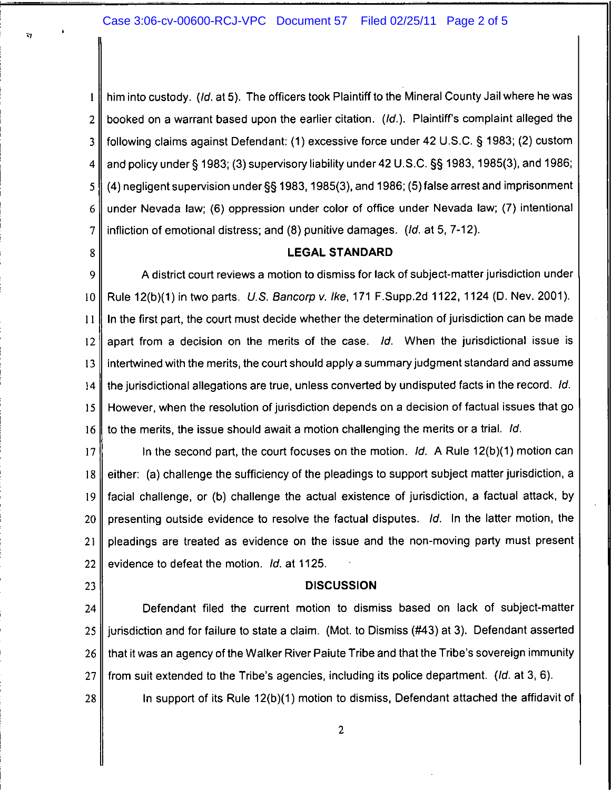## Case 3:06-cv-00600-RCJ-VPC Document 57 Filed 02/25/11 Page 2 of 5

him into custody. (Id. at 5). The officers took Plaintiff to the Mineral County Jail where he was  $\mathbf{I}$ booked on a warrant based upon the earlier citation. (Id.). Plaintiff's complaint alleged the  $\overline{2}$ following claims against Defendant: (1) excessive force under 42 U.S.C. § 1983; (2) custom 3 and policy under § 1983; (3) supervisory liability under 42 U.S.C. §§ 1983, 1985(3), and 1986;  $\overline{\mathbf{4}}$ (4) negligent supervision under §§ 1983, 1985(3), and 1986; (5) false arrest and imprisonment 5 under Nevada law; (6) oppression under color of office under Nevada law; (7) intentional 6 infliction of emotional distress; and (8) punitive damages. (Id. at 5, 7-12). 7

8

÷,

### **LEGAL STANDARD**

A district court reviews a motion to dismiss for lack of subject-matter jurisdiction under 9 Rule 12(b)(1) in two parts. U.S. Bancorp v. Ike, 171 F.Supp.2d 1122, 1124 (D. Nev. 2001). 10 In the first part, the court must decide whether the determination of jurisdiction can be made  $11$ apart from a decision on the merits of the case. Id. When the jurisdictional issue is 12 intertwined with the merits, the court should apply a summary judgment standard and assume 13  $14$ the jurisdictional allegations are true, unless converted by undisputed facts in the record. Id.  $15$ However, when the resolution of jurisdiction depends on a decision of factual issues that go to the merits, the issue should await a motion challenging the merits or a trial. Id. 16

In the second part, the court focuses on the motion.  $\mathcal{U}$ . A Rule 12(b)(1) motion can  $17$ either: (a) challenge the sufficiency of the pleadings to support subject matter jurisdiction, a 18 facial challenge, or (b) challenge the actual existence of jurisdiction, a factual attack, by 19 presenting outside evidence to resolve the factual disputes. Id. In the latter motion, the 20 pleadings are treated as evidence on the issue and the non-moving party must present  $21$ 22 evidence to defeat the motion. Id. at 1125.

23

#### **DISCUSSION**

Defendant filed the current motion to dismiss based on lack of subject-matter 24 jurisdiction and for failure to state a claim. (Mot. to Dismiss (#43) at 3). Defendant asserted 25 that it was an agency of the Walker River Paiute Tribe and that the Tribe's sovereign immunity 26 from suit extended to the Tribe's agencies, including its police department. (Id. at 3, 6). 27

28

In support of its Rule 12(b)(1) motion to dismiss, Defendant attached the affidavit of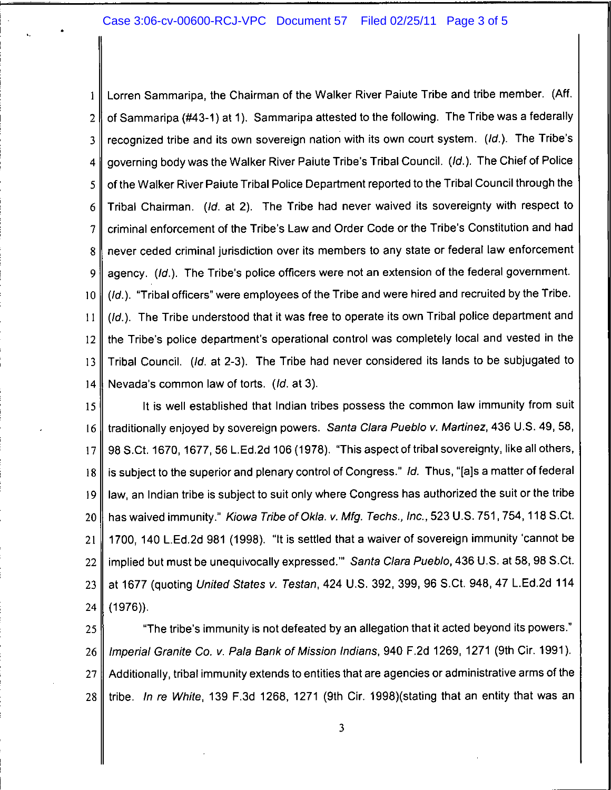## Case 3:06-cv-00600-RCJ-VPC Document 57 Filed 02/25/11 Page 3 of 5

 $\zeta_{\rm c} = \zeta_{\rm c}$ 

l

! !

!

i

 $\mathcal{L}_{\mathcal{A}}$ 

i

!

l

1 | Lorren Sammaripa, the Chairman of the Walker River Paiute Tribe and tribe member. (Aff. 2 | of Sammaripa (#43-1) at 1). Sammaripa attested to the following. The Tribe was a federally . 3  $\parallel$  recognized tribe and its own sovereign nation with its own court system. (Id.). The Tribe's 4 governing body was the Walker River Paiute Tribe's Tribal Council. (Id.). The Chief of Police 5 | of the Walker River Paiute Tribal Police Department reported to the Tribal Council through the 6 Tribal Chairman. (Id. at 2). The Tribe had never waived its sovereignty with respect to 7 criminal enforcement of the Tribe's Law and Order Code or the Tribe's Constitution and had 8 never ceded criminal jurisdiction over its members to any state or federal law enforcement  $9$  | agency. (Id.). The Tribe's police officers were not an extension of the federal government. 10  $\parallel$  (Id.). "Tribal officers" were employees of the Tribe and were hired and recruited by the Tribe. 11  $\parallel$  (Id.). The Tribe understood that it was free to operate its own Tribal police department and  $12$  the Tribe's police department's operational control was completely local and vested in the 13 Tribal Council. (Id. at 2-3). The Tribe had never considered its lands to be subjugated to 14 Nevada's common law of torts. (*ld.* at 3).

15 || It is well established that Indian tribes possess the common law immunity from suit 16 I traditionally enjoyed by sovereign powers. Santa Clara Pueblo v. Martinez, 436 U.S. 49, 58, 17 98 S,Ct. 1670, 1677, 56 L.Ed.2d 106 (1978). "This aspect of tribal sovereignty, like all others, 18  $\parallel$  is subject to the superior and plenary control of Congress." Id. Thus, "[a]s a matter of federal  $\begin{array}{ccc} \hline \end{array}$ law, an Indian tribe is subject to suit only where Congress has authorized the suit or the tribe 20 has waived immunity." Kiowa Tribe of Okla. v. Mfg. Techs., Inc., 523 U.S. 751, 754, 118 S.Ct. 21 | 1700, 140 L.Ed.2d 981 (1998). "It is settled that a waiver of sovereign immunity 'cannot be 22 | implied but must be unequivocally expressed."" Santa Clara Pueblo, 436 U.S. at 58, 98 S.Ct. 23 at 1677 (quoting United States v. Testan, 424 U.S. 392, 399, 96 S.Ct. 948, 47 L.Ed.2d 114 24 (1976)).

> 25 The tribe's immunity is not defeated by an allegation that it acted beyond its powers." 26 || Imperial Granite Co. v. Pala Bank of Mission Indians, 940 F.2d 1269, 1271 (9th Cir. 1991). 27  $\parallel$  Additionally, tribal immunity extends to entities that are agencies or administrative arms of the 28 tribe. In re White, 139 F.3d 1268, 1271 (9th Cir. 1998)(stating that an entity that was an

 $\blacksquare$  . The contract of the contract of the contract of the contract of the contract of the contract of the contract of the contract of the contract of the contract of the contract of the contract of the contract of the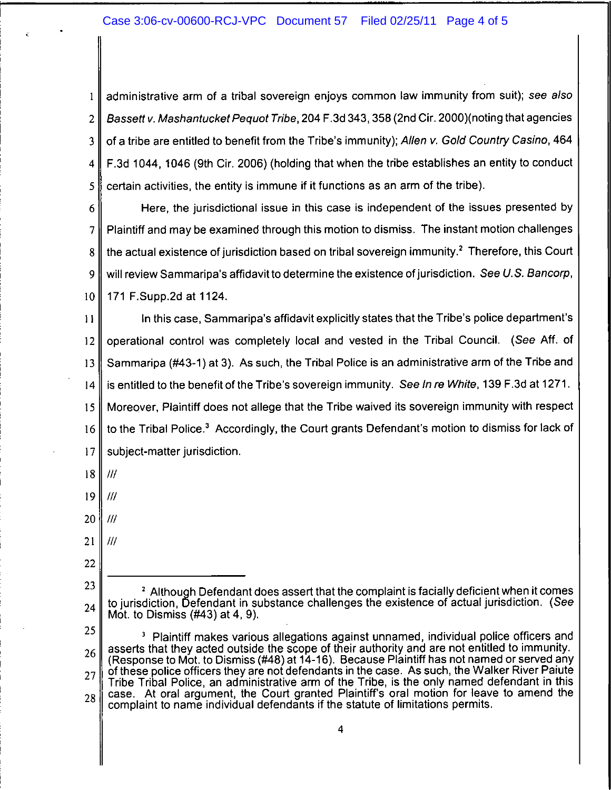# Case 3:06-cv-00600-RCJ-VPC Document 57 Filed 02/25/11 Page 4 of 5

administrative arm of a tribal sovereign enjoys common law immunity from suit); see also  $\mathbf{1}$ Bassett v. Mashantucket Pequot Tribe, 204 F.3d 343, 358 (2nd Cir. 2000) (noting that agencies  $\overline{2}$ of a tribe are entitled to benefit from the Tribe's immunity); Allen v. Gold Country Casino, 464 3 F.3d 1044, 1046 (9th Cir. 2006) (holding that when the tribe establishes an entity to conduct 4 certain activities, the entity is immune if it functions as an arm of the tribe). 5

Here, the jurisdictional issue in this case is independent of the issues presented by 6 Plaintiff and may be examined through this motion to dismiss. The instant motion challenges 7 the actual existence of jurisdiction based on tribal sovereign immunity.<sup>2</sup> Therefore, this Court 8 will review Sammaripa's affidavit to determine the existence of jurisdiction. See U.S. Bancorp, 9 171 F.Supp.2d at 1124.  $10$ 

In this case. Sammaripa's affidavit explicitly states that the Tribe's police department's  $11$ operational control was completely local and vested in the Tribal Council. (See Aff. of  $12$ Sammaripa (#43-1) at 3). As such, the Tribal Police is an administrative arm of the Tribe and 13 is entitled to the benefit of the Tribe's sovereign immunity. See In re White, 139 F.3d at 1271.  $14$ Moreover, Plaintiff does not allege that the Tribe waived its sovereign immunity with respect 15 to the Tribal Police.<sup>3</sup> Accordingly, the Court grants Defendant's motion to dismiss for lack of 16  $17$ subject-matter jurisdiction.

- 18  $^{\prime\prime\prime}$
- 19  $^{\prime\prime\prime}$
- 20 '///
- $21$  $III$
- 22

25 <sup>3</sup> Plaintiff makes various allegations against unnamed, individual police officers and asserts that they acted outside the scope of their authority and are not entitled to immunity. 26 (Response to Mot. to Dismiss (#48) at 14-16). Because Plaintiff has not named or served any of these police officers they are not defendants in the case. As such, the Walker River Paiute 27 Tribe Tribal Police, an administrative arm of the Tribe, is the only named defendant in this case. At oral argument, the Court granted Plaintiff's oral motion for leave to amend the 28 complaint to name individual defendants if the statute of limitations permits.

 $\overline{\mathbf{4}}$ 

<sup>23</sup> <sup>2</sup> Although Defendant does assert that the complaint is facially deficient when it comes to jurisdiction. Defendant in substance challenges the existence of actual jurisdiction. (See 24 Mot. to Dismiss  $(H43)$  at 4, 9).